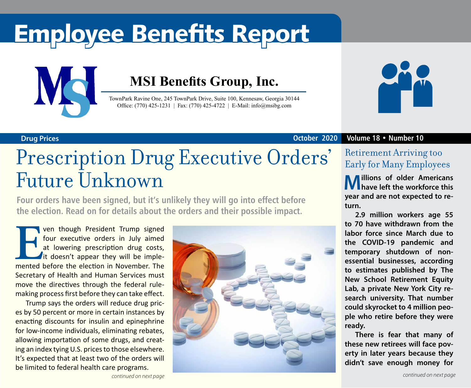# Employee Benefits Report



### **MSI Benefits Group, Inc.**

TownPark Ravine One, 245 TownPark Drive, Suite 100, Kennesaw, Georgia 30144 Office: (770) 425-1231 | Fax: (770) 425-4722 | E-Mail: info@msibg.com



#### **Drug Prices October 2020 Volume 18 • Number 10**

## Prescription Drug Executive Orders' Future Unknown

**Four orders have been signed, but it's unlikely they will go into effect before the election. Read on for details about the orders and their possible impact.**

**EVENT THE STARK STARK STARK STARK STARK STARK STARK STARK STARK STARK STARK STARK STARK STARK STARK STARK STARK STARK STARK STARK STARK STARK STARK STARK STARK STARK STARK STARK STARK STARK STARK STARK STARK STARK STARK S** four executive orders in July aimed at lowering prescription drug costs, it doesn't appear they will be implemented before the election in November. The Secretary of Health and Human Services must move the directives through the federal rulemaking process first before they can take effect.

Trump says the orders will reduce drug prices by 50 percent or more in certain instances by enacting discounts for insulin and epinephrine for low-income individuals, eliminating rebates, allowing importation of some drugs, and creating an index tying U.S. prices to those elsewhere. It's expected that at least two of the orders will be limited to federal health care programs.



### Retirement Arriving too Early for Many Employees

**Millions of older Americans have left the workforce this year and are not expected to return.** 

**2.9 million workers age 55 to 70 have withdrawn from the labor force since March due to the COVID-19 pandemic and temporary shutdown of nonessential businesses, according to estimates published by The New School Retirement Equity Lab, a private New York City research university. That number could skyrocket to 4 million people who retire before they were ready.** 

**There is fear that many of these new retirees will face poverty in later years because they didn't save enough money for**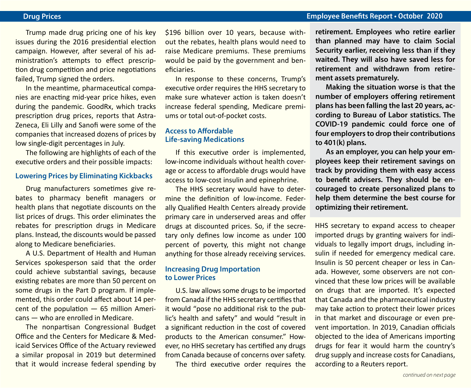#### **Drug Prices Employee Benefits Report • October 2020**

Trump made drug pricing one of his key issues during the 2016 presidential election campaign. However, after several of his administration's attempts to effect prescription drug competition and price negotiations failed, Trump signed the orders.

In the meantime, pharmaceutical companies are enacting mid-year price hikes, even during the pandemic. GoodRx, which tracks prescription drug prices, reports that Astra-Zeneca, Eli Lilly and Sanofi were some of the companies that increased dozens of prices by low single-digit percentages in July.

The following are highlights of each of the executive orders and their possible impacts:

#### **Lowering Prices by Eliminating Kickbacks**

Drug manufacturers sometimes give rebates to pharmacy benefit managers or health plans that negotiate discounts on the list prices of drugs. This order eliminates the rebates for prescription drugs in Medicare plans. Instead, the discounts would be passed along to Medicare beneficiaries.

A U.S. Department of Health and Human Services spokesperson said that the order could achieve substantial savings, because existing rebates are more than 50 percent on some drugs in the Part D program. If implemented, this order could affect about 14 percent of the population — 65 million Americans — who are enrolled in Medicare.

The nonpartisan Congressional Budget Office and the Centers for Medicare & Medicaid Services Office of the Actuary reviewed a similar proposal in 2019 but determined that it would increase federal spending by \$196 billion over 10 years, because without the rebates, health plans would need to raise Medicare premiums. These premiums would be paid by the government and beneficiaries.

In response to these concerns, Trump's executive order requires the HHS secretary to make sure whatever action is taken doesn't increase federal spending, Medicare premiums or total out-of-pocket costs.

#### **Access to Affordable Life-saving Medications**

If this executive order is implemented, low-income individuals without health coverage or access to affordable drugs would have access to low-cost insulin and epinephrine.

The HHS secretary would have to determine the definition of low-income. Federally Qualified Health Centers already provide primary care in underserved areas and offer drugs at discounted prices. So, if the secretary only defines low income as under 100 percent of poverty, this might not change anything for those already receiving services.

#### **Increasing Drug Importation to Lower Prices**

U.S. law allows some drugs to be imported from Canada if the HHS secretary certifies that it would "pose no additional risk to the public's health and safety" and would "result in a significant reduction in the cost of covered products to the American consumer." However, no HHS secretary has certified any drugs from Canada because of concerns over safety.

The third executive order requires the

**retirement. Employees who retire earlier than planned may have to claim Social Security earlier, receiving less than if they waited. They will also have saved less for retirement and withdrawn from retirement assets prematurely.**

**Making the situation worse is that the number of employers offering retirement plans has been falling the last 20 years, according to Bureau of Labor statistics. The COVID-19 pandemic could force one of four employers to drop their contributions to 401(k) plans.**

**As an employer, you can help your employees keep their retirement savings on track by providing them with easy access to benefit advisers. They should be encouraged to create personalized plans to help them determine the best course for optimizing their retirement.**

HHS secretary to expand access to cheaper imported drugs by granting waivers for individuals to legally import drugs, including insulin if needed for emergency medical care. Insulin is 50 percent cheaper or less in Canada. However, some observers are not convinced that these low prices will be available on drugs that are imported. It's expected that Canada and the pharmaceutical industry may take action to protect their lower prices in that market and discourage or even prevent importation. In 2019, Canadian officials objected to the idea of Americans importing drugs for fear it would harm the country's drug supply and increase costs for Canadians, according to a Reuters report.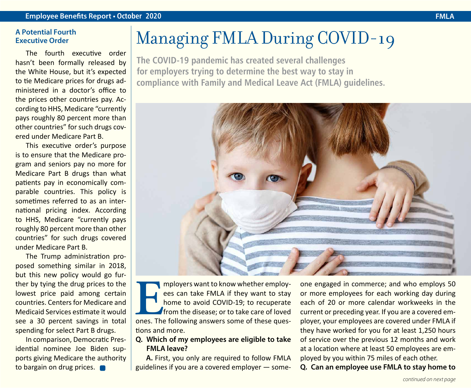#### **A Potential Fourth Executive Order**

The fourth executive order hasn't been formally released by the White House, but it's expected to tie Medicare prices for drugs administered in a doctor's office to the prices other countries pay. According to HHS, Medicare "currently pays roughly 80 percent more than other countries" for such drugs covered under Medicare Part B.

This executive order's purpose is to ensure that the Medicare program and seniors pay no more for Medicare Part B drugs than what patients pay in economically comparable countries. This policy is sometimes referred to as an international pricing index. According to HHS, Medicare "currently pays roughly 80 percent more than other countries" for such drugs covered under Medicare Part B.

The Trump administration proposed something similar in 2018, but this new policy would go further by tying the drug prices to the lowest price paid among certain countries. Centers for Medicare and Medicaid Services estimate it would see a 30 percent savings in total spending for select Part B drugs.

In comparison, Democratic Presidential nominee Joe Biden supports giving Medicare the authority to bargain on drug prices.

## Managing FMLA During COVID-19

**The COVID-19 pandemic has created several challenges for employers trying to determine the best way to stay in compliance with Family and Medical Leave Act (FMLA) guidelines.**



**EXECUTE IS MUCHE THE MEAN IS A more to avoid COVID-19; to recuperate from the disease; or to take care of loved ones. The following answers some of these ques**ees can take FMLA if they want to stay home to avoid COVID-19; to recuperate from the disease; or to take care of loved tions and more.

#### **Q. Which of my employees are eligible to take FMLA leave?**

**A.** First, you only are required to follow FMLA guidelines if you are a covered employer — someone engaged in commerce; and who employs 50 or more employees for each working day during each of 20 or more calendar workweeks in the current or preceding year. If you are a covered employer, your employees are covered under FMLA if they have worked for you for at least 1,250 hours of service over the previous 12 months and work at a location where at least 50 employees are employed by you within 75 miles of each other.

**Q. Can an employee use FMLA to stay home to**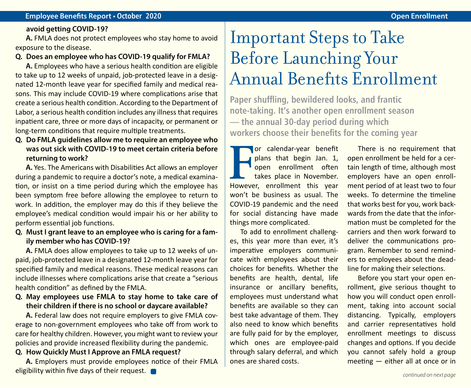#### **avoid getting COVID-19?**

**A.** FMLA does not protect employees who stay home to avoid exposure to the disease.

#### **Q. Does an employee who has COVID-19 qualify for FMLA?**

**A.** Employees who have a serious health condition are eligible to take up to 12 weeks of unpaid, job-protected leave in a designated 12-month leave year for specified family and medical reasons. This may include COVID-19 where complications arise that create a serious health condition. According to the Department of Labor, a serious health condition includes any illness that requires inpatient care, three or more days of incapacity, or permanent or long-term conditions that require multiple treatments.

### **Q. Do FMLA guidelines allow me to require an employee who was out sick with COVID-19 to meet certain criteria before returning to work?**

**A.** Yes. The Americans with Disabilities Act allows an employer during a pandemic to require a doctor's note, a medical examination, or insist on a time period during which the employee has been symptom free before allowing the employee to return to work. In addition, the employer may do this if they believe the employee's medical condition would impair his or her ability to perform essential job functions.

**Q. Must I grant leave to an employee who is caring for a family member who has COVID-19?**

**A.** FMLA does allow employees to take up to 12 weeks of unpaid, job-protected leave in a designated 12-month leave year for specified family and medical reasons. These medical reasons can include illnesses where complications arise that create a "serious health condition" as defined by the FMLA.

### **Q. May employees use FMLA to stay home to take care of their children if there is no school or daycare available?**

**A.** Federal law does not require employers to give FMLA coverage to non-government employees who take off from work to care for healthy children. However, you might want to review your policies and provide increased flexibility during the pandemic.

#### **Q. How Quickly Must I Approve an FMLA request?**

**A.** Employers must provide employees notice of their FMLA eligibility within five days of their request.

### Important Steps to Take Before Launching Your Annual Benefits Enrollment

**Paper shuffling, bewildered looks, and frantic note-taking. It's another open enrollment season — the annual 30-day period during which workers choose their benefits for the coming year**

**FR** Plans that begin Jan. 1, open enrollment often takes place in November.<br>However, enrollment this year or calendar-year benefit plans that begin Jan. 1, open enrollment often takes place in November. won't be business as usual. The COVID-19 pandemic and the need for social distancing have made things more complicated.

To add to enrollment challenges, this year more than ever, it's imperative employers communicate with employees about their choices for benefits. Whether the benefits are health, dental, life insurance or ancillary benefits, employees must understand what benefits are available so they can best take advantage of them. They also need to know which benefits are fully paid for by the employer, which ones are employee-paid through salary deferral, and which ones are shared costs.

There is no requirement that open enrollment be held for a certain length of time, although most employers have an open enrollment period of at least two to four weeks. To determine the timeline that works best for you, work backwards from the date that the information must be completed for the carriers and then work forward to deliver the communications program. Remember to send reminders to employees about the deadline for making their selections.

Before you start your open enrollment, give serious thought to how you will conduct open enrollment, taking into account social distancing. Typically, employers and carrier representatives hold enrollment meetings to discuss changes and options. If you decide you cannot safely hold a group meeting — either all at once or in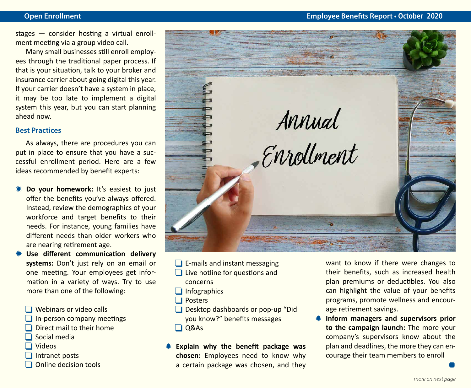stages — consider hosting a virtual enrollment meeting via a group video call.

Many small businesses still enroll employees through the traditional paper process. If that is your situation, talk to your broker and insurance carrier about going digital this year. If your carrier doesn't have a system in place, it may be too late to implement a digital system this year, but you can start planning ahead now.

#### **Best Practices**

As always, there are procedures you can put in place to ensure that you have a successful enrollment period. Here are a few ideas recommended by benefit experts:

- **\* Do your homework:** It's easiest to just offer the benefits you've always offered. Instead, review the demographics of your workforce and target benefits to their needs. For instance, young families have different needs than older workers who are nearing retirement age.
- **\* Use different communication delivery systems:** Don't just rely on an email or one meeting. Your employees get information in a variety of ways. Try to use more than one of the following:
	- $\Box$  Webinars or video calls
	- $\Box$  In-person company meetings
	- $\Box$  Direct mail to their home
	- $\Box$  Social media
	- $\Box$  Videos
	- $\Box$  Intranet posts
	- $\Box$  Online decision tools



- $\Box$  E-mails and instant messaging
- $\Box$  Live hotline for questions and concerns
- $\Box$  Infographics
- $\Box$  Posters
- $\Box$  Desktop dashboards or pop-up "Did you know?" benefits messages  $\Box$  Q&As
- Y **Explain why the benefit package was chosen:** Employees need to know why a certain package was chosen, and they

want to know if there were changes to their benefits, such as increased health plan premiums or deductibles. You also can highlight the value of your benefits programs, promote wellness and encourage retirement savings.

**K** Inform managers and supervisors prior **to the campaign launch:** The more your company's supervisors know about the plan and deadlines, the more they can encourage their team members to enroll